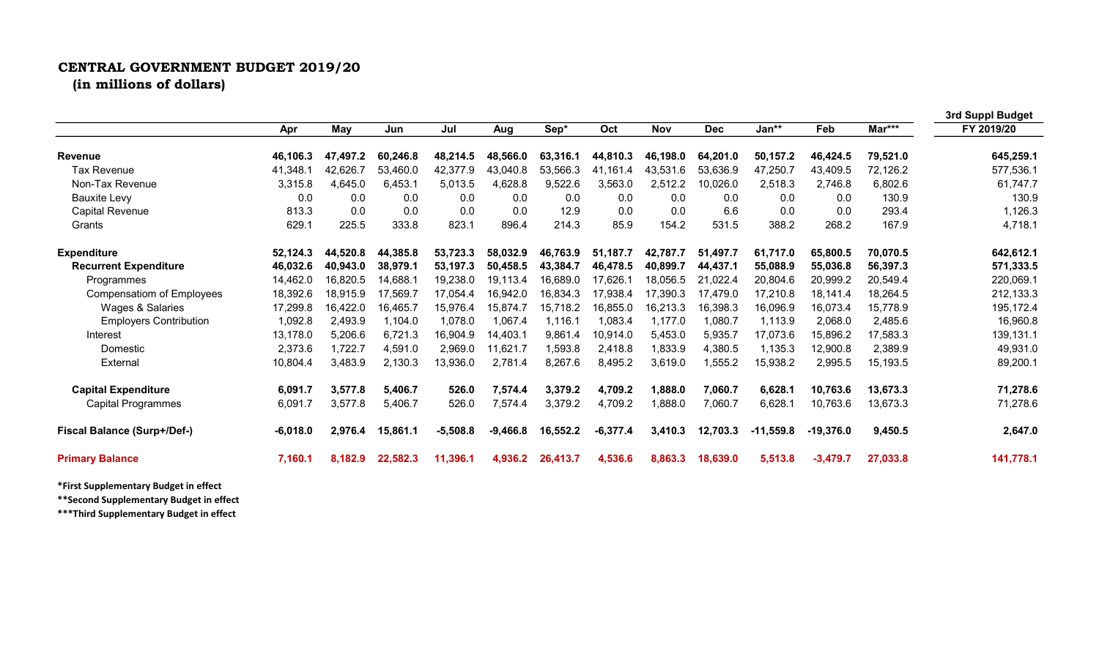## CENTRAL GOVERNMENT BUDGET 2019/20 (in millions of dollars)

|                                    |            |          |          |            |            |          |            |            |            |             |             |          | 3rd Suppl Budget |
|------------------------------------|------------|----------|----------|------------|------------|----------|------------|------------|------------|-------------|-------------|----------|------------------|
|                                    | Apr        | May      | Jun      | Jul        | Aug        | Sep*     | Oct        | <b>Nov</b> | <b>Dec</b> | Jan**       | Feb         | Mar***   | FY 2019/20       |
| <b>Revenue</b>                     | 46,106.3   | 47,497.2 | 60,246.8 | 48,214.5   | 48,566.0   | 63,316.1 | 44,810.3   | 46,198.0   | 64,201.0   | 50,157.2    | 46,424.5    | 79,521.0 | 645,259.1        |
| <b>Tax Revenue</b>                 | 41,348.1   | 42,626.7 | 53,460.0 | 42,377.9   | 43,040.8   | 53,566.3 | 41.161.4   | 43.531.6   | 53.636.9   | 47,250.7    | 43,409.5    | 72,126.2 | 577,536.1        |
| Non-Tax Revenue                    | 3,315.8    | 4,645.0  | 6,453.1  | 5,013.5    | 4,628.8    | 9,522.6  | 3,563.0    | 2,512.2    | 10,026.0   | 2,518.3     | 2,746.8     | 6,802.6  | 61,747.7         |
| <b>Bauxite Levy</b>                | 0.0        | 0.0      | 0.0      | 0.0        | 0.0        | 0.0      | 0.0        | 0.0        | 0.0        | 0.0         | 0.0         | 130.9    | 130.9            |
| <b>Capital Revenue</b>             | 813.3      | 0.0      | 0.0      | 0.0        | 0.0        | 12.9     | 0.0        | 0.0        | 6.6        | 0.0         | 0.0         | 293.4    | 1,126.3          |
| Grants                             | 629.1      | 225.5    | 333.8    | 823.1      | 896.4      | 214.3    | 85.9       | 154.2      | 531.5      | 388.2       | 268.2       | 167.9    | 4,718.1          |
| <b>Expenditure</b>                 | 52,124.3   | 44,520.8 | 44,385.8 | 53,723.3   | 58,032.9   | 46,763.9 | 51,187.7   | 42,787.7   | 51,497.7   | 61,717.0    | 65,800.5    | 70,070.5 | 642,612.1        |
| <b>Recurrent Expenditure</b>       | 46,032.6   | 40,943.0 | 38,979.1 | 53,197.3   | 50,458.5   | 43,384.7 | 46,478.5   | 40,899.7   | 44,437.1   | 55,088.9    | 55,036.8    | 56,397.3 | 571,333.5        |
| Programmes                         | 14,462.0   | 16,820.5 | 14,688.1 | 19,238.0   | 19,113.4   | 16,689.0 | 17,626.1   | 18,056.5   | 21,022.4   | 20,804.6    | 20,999.2    | 20,549.4 | 220,069.1        |
| Compensatiom of Employees          | 18,392.6   | 18,915.9 | 17,569.7 | 17,054.4   | 16,942.0   | 16,834.3 | 17,938.4   | 17,390.3   | 17,479.0   | 17,210.8    | 18,141.4    | 18,264.5 | 212,133.3        |
| Wages & Salaries                   | 17,299.8   | 16,422.0 | 16,465.7 | 15,976.4   | 15,874.7   | 15,718.2 | 16,855.0   | 16,213.3   | 16,398.3   | 16,096.9    | 16,073.4    | 15,778.9 | 195,172.4        |
| <b>Employers Contribution</b>      | 1,092.8    | 2,493.9  | 1,104.0  | 1,078.0    | 1,067.4    | 1,116.1  | 1,083.4    | 1,177.0    | 1,080.7    | 1,113.9     | 2,068.0     | 2,485.6  | 16,960.8         |
| Interest                           | 13,178.0   | 5,206.6  | 6,721.3  | 16,904.9   | 14,403.1   | 9,861.4  | 10,914.0   | 5,453.0    | 5,935.7    | 17,073.6    | 15,896.2    | 17,583.3 | 139,131.1        |
| Domestic                           | 2,373.6    | 1,722.7  | 4,591.0  | 2,969.0    | 11,621.7   | 1,593.8  | 2,418.8    | 1,833.9    | 4,380.5    | 1,135.3     | 12,900.8    | 2,389.9  | 49,931.0         |
| External                           | 10,804.4   | 3,483.9  | 2,130.3  | 13,936.0   | 2,781.4    | 8,267.6  | 8,495.2    | 3,619.0    | 1,555.2    | 15,938.2    | 2,995.5     | 15,193.5 | 89,200.1         |
| <b>Capital Expenditure</b>         | 6,091.7    | 3,577.8  | 5,406.7  | 526.0      | 7,574.4    | 3,379.2  | 4,709.2    | 1,888.0    | 7,060.7    | 6,628.1     | 10,763.6    | 13,673.3 | 71,278.6         |
| <b>Capital Programmes</b>          | 6,091.7    | 3,577.8  | 5,406.7  | 526.0      | 7,574.4    | 3,379.2  | 4,709.2    | 1,888.0    | 7,060.7    | 6,628.1     | 10,763.6    | 13,673.3 | 71,278.6         |
| <b>Fiscal Balance (Surp+/Def-)</b> | $-6,018.0$ | 2,976.4  | 15,861.1 | $-5,508.8$ | $-9,466.8$ | 16,552.2 | $-6,377.4$ | 3,410.3    | 12,703.3   | $-11,559.8$ | $-19.376.0$ | 9,450.5  | 2,647.0          |
| <b>Primary Balance</b>             | 7,160.1    | 8,182.9  | 22,582.3 | 11,396.1   | 4,936.2    | 26,413.7 | 4,536.6    | 8,863.3    | 18,639.0   | 5,513.8     | $-3,479.7$  | 27,033.8 | 141,778.1        |

\*First Supplementary Budget in effect

\*\*Second Supplementary Budget in effect

\*\*\*Third Supplementary Budget in effect